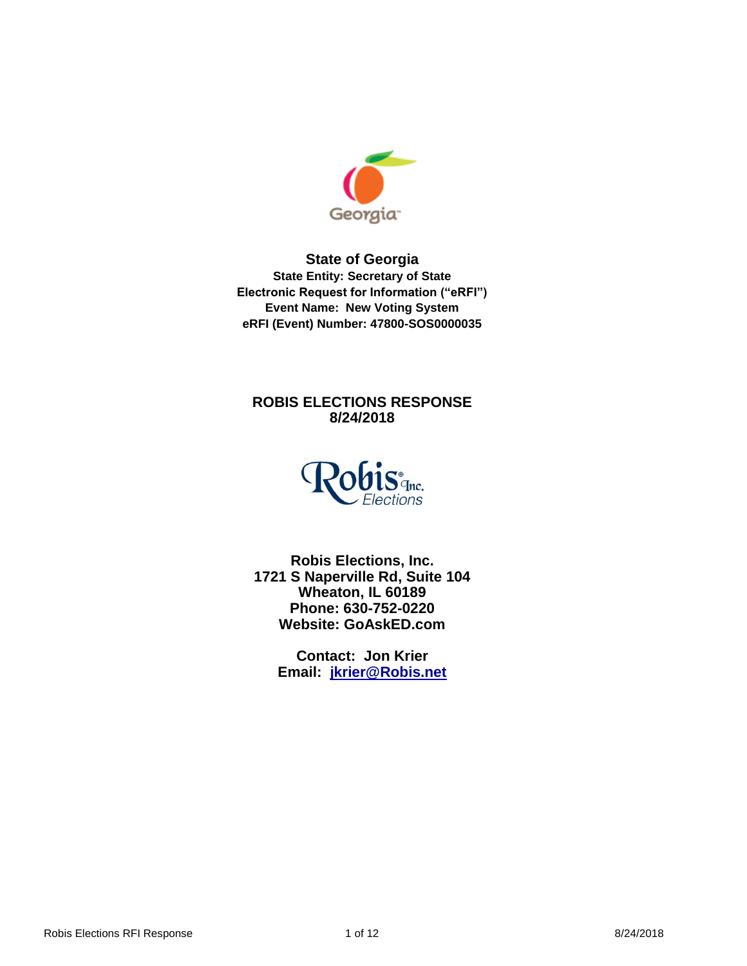

**State of Georgia State Entity: Secretary of State Electronic Request for Information ("eRFI") Event Name: New Voting System eRFI (Event) Number: 47800-SOS0000035**

# **ROBIS ELECTIONS RESPONSE 8/24/2018**



**Robis Elections, Inc. 1721 S Naperville Rd, Suite 104 Wheaton, IL 60189 Phone: 630-752-0220 Website: GoAskED.com**

> **Contact: Jon Krier Email: [jkrier@Robis.net](mailto:jkrier@Robis.net)**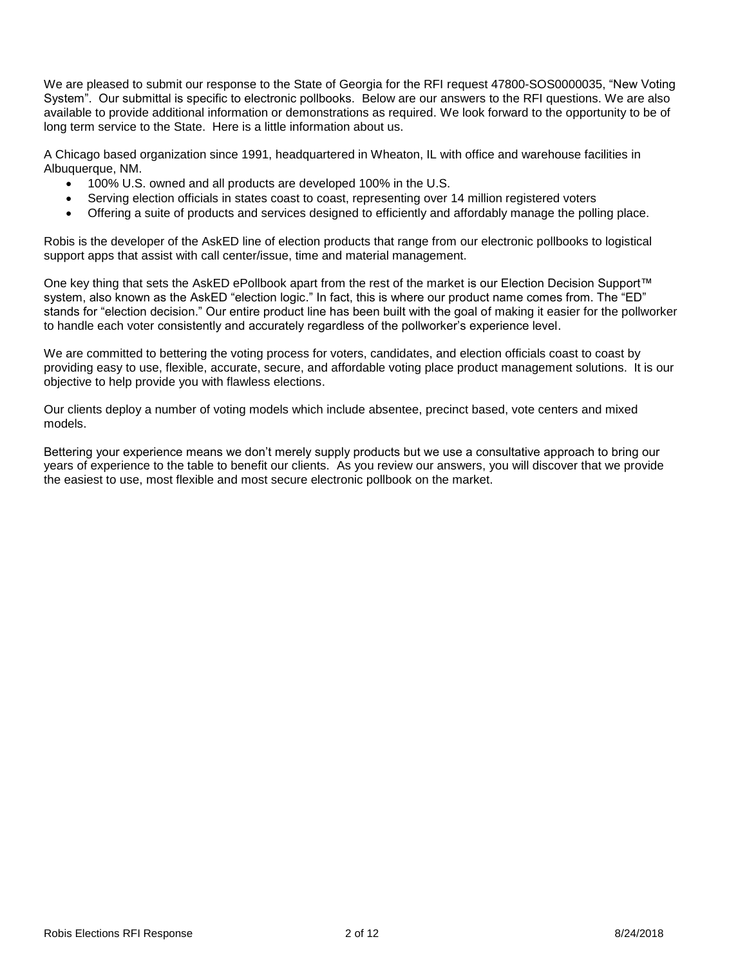We are pleased to submit our response to the State of Georgia for the RFI request 47800-SOS0000035, "New Voting System". Our submittal is specific to electronic pollbooks. Below are our answers to the RFI questions. We are also available to provide additional information or demonstrations as required. We look forward to the opportunity to be of long term service to the State. Here is a little information about us.

A Chicago based organization since 1991, headquartered in Wheaton, IL with office and warehouse facilities in Albuquerque, NM.

- 100% U.S. owned and all products are developed 100% in the U.S.
- Serving election officials in states coast to coast, representing over 14 million registered voters
- Offering a suite of products and services designed to efficiently and affordably manage the polling place.

Robis is the developer of the AskED line of election products that range from our electronic pollbooks to logistical support apps that assist with call center/issue, time and material management.

One key thing that sets the AskED ePollbook apart from the rest of the market is our Election Decision Support™ system, also known as the AskED "election logic." In fact, this is where our product name comes from. The "ED" stands for "election decision." Our entire product line has been built with the goal of making it easier for the pollworker to handle each voter consistently and accurately regardless of the pollworker's experience level.

We are committed to bettering the voting process for voters, candidates, and election officials coast to coast by providing easy to use, flexible, accurate, secure, and affordable voting place product management solutions. It is our objective to help provide you with flawless elections.

Our clients deploy a number of voting models which include absentee, precinct based, vote centers and mixed models.

Bettering your experience means we don't merely supply products but we use a consultative approach to bring our years of experience to the table to benefit our clients. As you review our answers, you will discover that we provide the easiest to use, most flexible and most secure electronic pollbook on the market.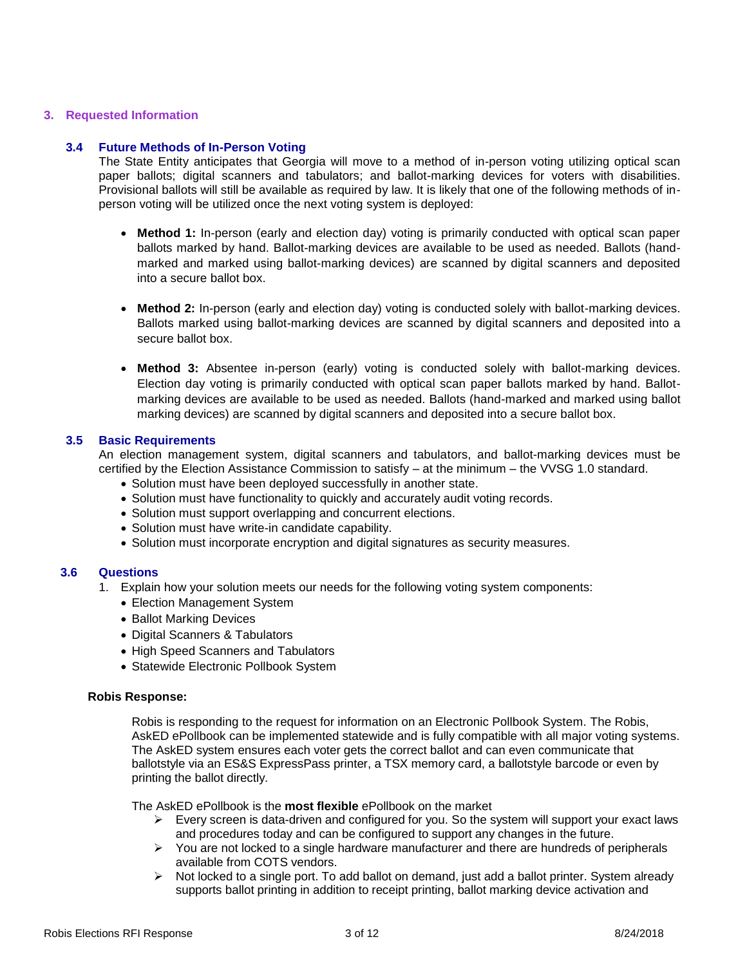# **3. Requested Information**

# **3.4 Future Methods of In-Person Voting**

The State Entity anticipates that Georgia will move to a method of in-person voting utilizing optical scan paper ballots; digital scanners and tabulators; and ballot-marking devices for voters with disabilities. Provisional ballots will still be available as required by law. It is likely that one of the following methods of inperson voting will be utilized once the next voting system is deployed:

- **Method 1:** In-person (early and election day) voting is primarily conducted with optical scan paper ballots marked by hand. Ballot-marking devices are available to be used as needed. Ballots (handmarked and marked using ballot-marking devices) are scanned by digital scanners and deposited into a secure ballot box.
- **Method 2:** In-person (early and election day) voting is conducted solely with ballot-marking devices. Ballots marked using ballot-marking devices are scanned by digital scanners and deposited into a secure ballot box.
- **Method 3:** Absentee in-person (early) voting is conducted solely with ballot-marking devices. Election day voting is primarily conducted with optical scan paper ballots marked by hand. Ballotmarking devices are available to be used as needed. Ballots (hand-marked and marked using ballot marking devices) are scanned by digital scanners and deposited into a secure ballot box.

### **3.5 Basic Requirements**

An election management system, digital scanners and tabulators, and ballot-marking devices must be certified by the Election Assistance Commission to satisfy – at the minimum – the VVSG 1.0 standard.

- Solution must have been deployed successfully in another state.
- Solution must have functionality to quickly and accurately audit voting records.
- Solution must support overlapping and concurrent elections.
- Solution must have write-in candidate capability.
- Solution must incorporate encryption and digital signatures as security measures.

# **3.6 Questions**

- 1. Explain how your solution meets our needs for the following voting system components:
	- Election Management System
	- Ballot Marking Devices
	- Digital Scanners & Tabulators
	- High Speed Scanners and Tabulators
	- Statewide Electronic Pollbook System

#### **Robis Response:**

Robis is responding to the request for information on an Electronic Pollbook System. The Robis, AskED ePollbook can be implemented statewide and is fully compatible with all major voting systems. The AskED system ensures each voter gets the correct ballot and can even communicate that ballotstyle via an ES&S ExpressPass printer, a TSX memory card, a ballotstyle barcode or even by printing the ballot directly.

The AskED ePollbook is the **most flexible** ePollbook on the market

- $\triangleright$  Every screen is data-driven and configured for you. So the system will support your exact laws and procedures today and can be configured to support any changes in the future.
- $\triangleright$  You are not locked to a single hardware manufacturer and there are hundreds of peripherals available from COTS vendors.
- $\triangleright$  Not locked to a single port. To add ballot on demand, just add a ballot printer. System already supports ballot printing in addition to receipt printing, ballot marking device activation and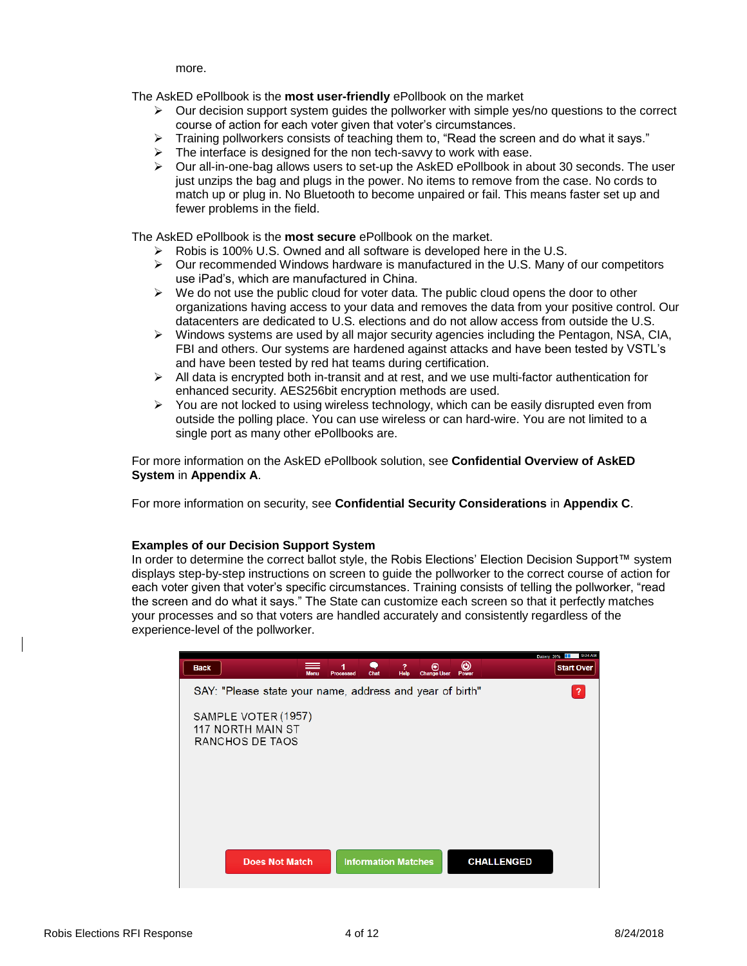more.

The AskED ePollbook is the **most user-friendly** ePollbook on the market

- $\triangleright$  Our decision support system guides the pollworker with simple yes/no questions to the correct course of action for each voter given that voter's circumstances.
- $\triangleright$  Training pollworkers consists of teaching them to, "Read the screen and do what it says."
- $\triangleright$  The interface is designed for the non tech-savvy to work with ease.
- $\triangleright$  Our all-in-one-bag allows users to set-up the AskED ePollbook in about 30 seconds. The user just unzips the bag and plugs in the power. No items to remove from the case. No cords to match up or plug in. No Bluetooth to become unpaired or fail. This means faster set up and fewer problems in the field.

The AskED ePollbook is the **most secure** ePollbook on the market.

- $\triangleright$  Robis is 100% U.S. Owned and all software is developed here in the U.S.
- $\triangleright$  Our recommended Windows hardware is manufactured in the U.S. Many of our competitors use iPad's, which are manufactured in China.
- $\triangleright$  We do not use the public cloud for voter data. The public cloud opens the door to other organizations having access to your data and removes the data from your positive control. Our datacenters are dedicated to U.S. elections and do not allow access from outside the U.S.
- $\triangleright$  Windows systems are used by all major security agencies including the Pentagon, NSA, CIA, FBI and others. Our systems are hardened against attacks and have been tested by VSTL's and have been tested by red hat teams during certification.
- $\triangleright$  All data is encrypted both in-transit and at rest, and we use multi-factor authentication for enhanced security. AES256bit encryption methods are used.
- $\triangleright$  You are not locked to using wireless technology, which can be easily disrupted even from outside the polling place. You can use wireless or can hard-wire. You are not limited to a single port as many other ePollbooks are.

For more information on the AskED ePollbook solution, see **Confidential Overview of AskED System** in **Appendix A**.

For more information on security, see **Confidential Security Considerations** in **Appendix C**.

#### **Examples of our Decision Support System**

In order to determine the correct ballot style, the Robis Elections' Election Decision Support™ system displays step-by-step instructions on screen to guide the pollworker to the correct course of action for each voter given that voter's specific circumstances. Training consists of telling the pollworker, "read the screen and do what it says." The State can customize each screen so that it perfectly matches your processes and so that voters are handled accurately and consistently regardless of the experience-level of the pollworker.

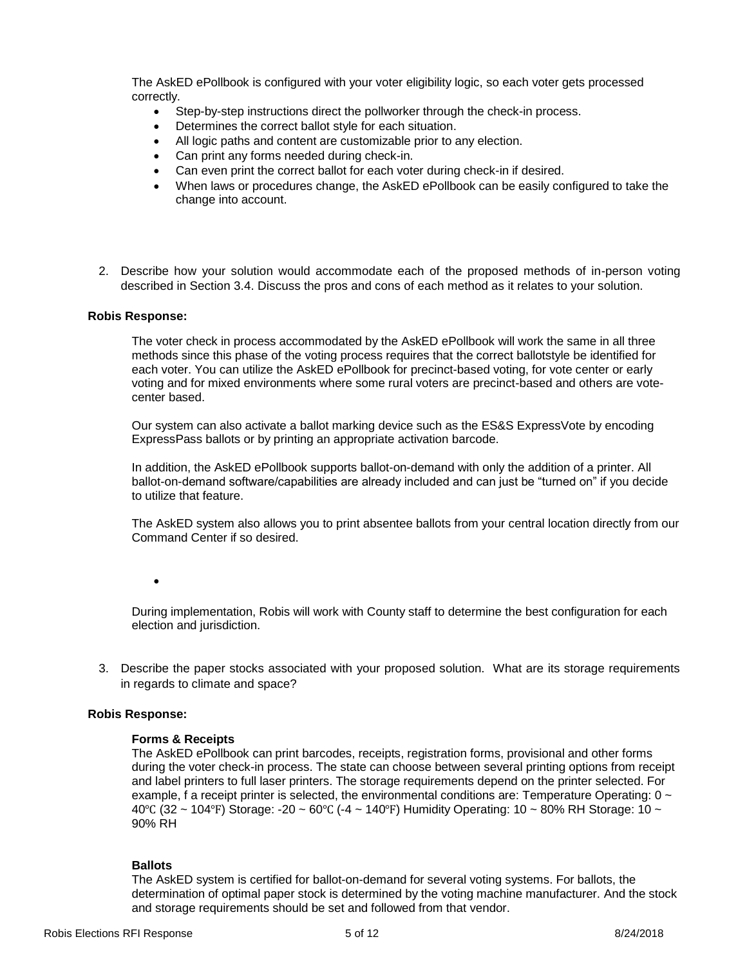The AskED ePollbook is configured with your voter eligibility logic, so each voter gets processed correctly.

- Step-by-step instructions direct the pollworker through the check-in process.
- Determines the correct ballot style for each situation.
- All logic paths and content are customizable prior to any election.
- Can print any forms needed during check-in.
- Can even print the correct ballot for each voter during check-in if desired.
- When laws or procedures change, the AskED ePollbook can be easily configured to take the change into account.
- 2. Describe how your solution would accommodate each of the proposed methods of in-person voting described in Section 3.4. Discuss the pros and cons of each method as it relates to your solution.

### **Robis Response:**

The voter check in process accommodated by the AskED ePollbook will work the same in all three methods since this phase of the voting process requires that the correct ballotstyle be identified for each voter. You can utilize the AskED ePollbook for precinct-based voting, for vote center or early voting and for mixed environments where some rural voters are precinct-based and others are votecenter based.

Our system can also activate a ballot marking device such as the ES&S ExpressVote by encoding ExpressPass ballots or by printing an appropriate activation barcode.

In addition, the AskED ePollbook supports ballot-on-demand with only the addition of a printer. All ballot-on-demand software/capabilities are already included and can just be "turned on" if you decide to utilize that feature.

The AskED system also allows you to print absentee ballots from your central location directly from our Command Center if so desired.

 $\bullet$ 

During implementation, Robis will work with County staff to determine the best configuration for each election and jurisdiction.

3. Describe the paper stocks associated with your proposed solution. What are its storage requirements in regards to climate and space?

# **Robis Response:**

# **Forms & Receipts**

The AskED ePollbook can print barcodes, receipts, registration forms, provisional and other forms during the voter check-in process. The state can choose between several printing options from receipt and label printers to full laser printers. The storage requirements depend on the printer selected. For example, f a receipt printer is selected, the environmental conditions are: Temperature Operating:  $0 \sim$ 40°C (32 ~ 104°F) Storage: -20 ~ 60°C (-4 ~ 140°F) Humidity Operating: 10 ~ 80% RH Storage: 10 ~ 90% RH

# **Ballots**

The AskED system is certified for ballot-on-demand for several voting systems. For ballots, the determination of optimal paper stock is determined by the voting machine manufacturer. And the stock and storage requirements should be set and followed from that vendor.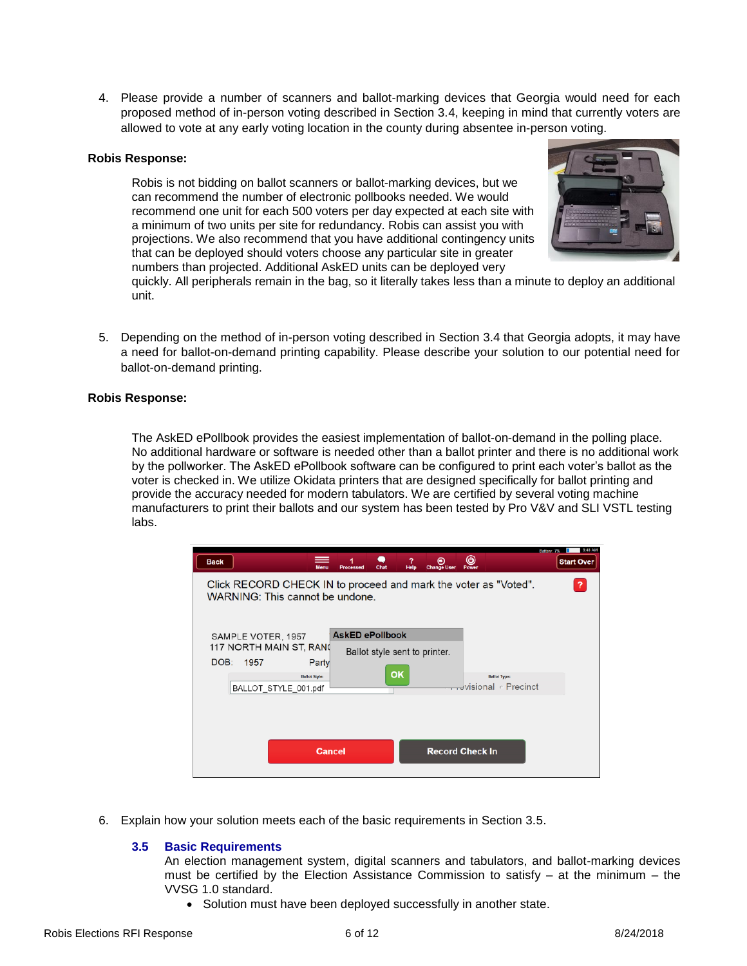4. Please provide a number of scanners and ballot-marking devices that Georgia would need for each proposed method of in-person voting described in Section 3.4, keeping in mind that currently voters are allowed to vote at any early voting location in the county during absentee in-person voting.

#### **Robis Response:**

Robis is not bidding on ballot scanners or ballot-marking devices, but we can recommend the number of electronic pollbooks needed. We would recommend one unit for each 500 voters per day expected at each site with a minimum of two units per site for redundancy. Robis can assist you with projections. We also recommend that you have additional contingency units that can be deployed should voters choose any particular site in greater numbers than projected. Additional AskED units can be deployed very



quickly. All peripherals remain in the bag, so it literally takes less than a minute to deploy an additional unit.

5. Depending on the method of in-person voting described in Section 3.4 that Georgia adopts, it may have a need for ballot-on-demand printing capability. Please describe your solution to our potential need for ballot-on-demand printing.

### **Robis Response:**

The AskED ePollbook provides the easiest implementation of ballot-on-demand in the polling place. No additional hardware or software is needed other than a ballot printer and there is no additional work by the pollworker. The AskED ePollbook software can be configured to print each voter's ballot as the voter is checked in. We utilize Okidata printers that are designed specifically for ballot printing and provide the accuracy needed for modern tabulators. We are certified by several voting machine manufacturers to print their ballots and our system has been tested by Pro V&V and SLI VSTL testing labs.

| <b>Back</b>                                                                                        | Chai<br>Processed             | 7<br>◉<br>Helo<br><b>Change User</b> | ω<br>Power                                        | 8:48 AM<br>Battery: 79<br><b>Start Over</b> |
|----------------------------------------------------------------------------------------------------|-------------------------------|--------------------------------------|---------------------------------------------------|---------------------------------------------|
| Click RECORD CHECK IN to proceed and mark the voter as "Voted".<br>WARNING: This cannot be undone. |                               |                                      |                                                   | ?                                           |
| SAMPLE VOTER, 1957                                                                                 | <b>AskED ePollbook</b>        |                                      |                                                   |                                             |
| 117 NORTH MAIN ST, RANG                                                                            | Ballot style sent to printer. |                                      |                                                   |                                             |
| DOB:<br>1957<br>Party                                                                              |                               |                                      |                                                   |                                             |
| <b>Ballot Style:</b><br>BALLOT STYLE 001.pdf                                                       | <b>OK</b>                     |                                      | <b>Ballot Type:</b><br>advisional <b>Precinct</b> |                                             |
|                                                                                                    |                               |                                      |                                                   |                                             |
|                                                                                                    |                               |                                      |                                                   |                                             |
|                                                                                                    |                               |                                      |                                                   |                                             |
| <b>Cancel</b>                                                                                      |                               |                                      | <b>Record Check In</b>                            |                                             |
|                                                                                                    |                               |                                      |                                                   |                                             |

6. Explain how your solution meets each of the basic requirements in Section 3.5.

# **3.5 Basic Requirements**

An election management system, digital scanners and tabulators, and ballot-marking devices must be certified by the Election Assistance Commission to satisfy  $-$  at the minimum  $-$  the VVSG 1.0 standard.

• Solution must have been deployed successfully in another state.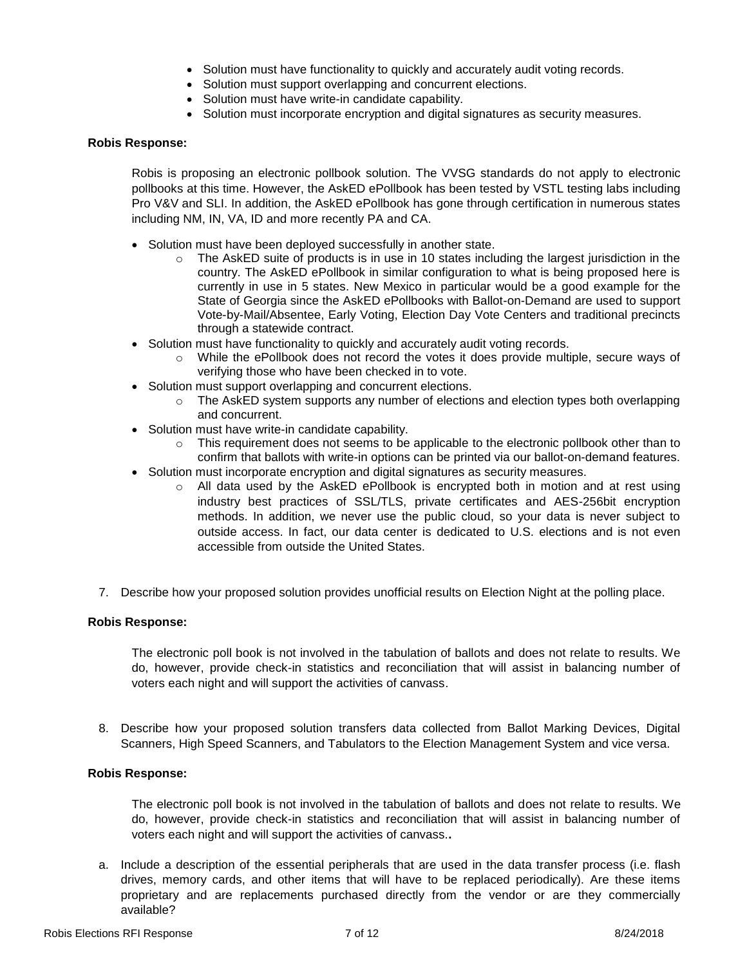- Solution must have functionality to quickly and accurately audit voting records.
- Solution must support overlapping and concurrent elections.
- Solution must have write-in candidate capability.
- Solution must incorporate encryption and digital signatures as security measures.

#### **Robis Response:**

Robis is proposing an electronic pollbook solution. The VVSG standards do not apply to electronic pollbooks at this time. However, the AskED ePollbook has been tested by VSTL testing labs including Pro V&V and SLI. In addition, the AskED ePollbook has gone through certification in numerous states including NM, IN, VA, ID and more recently PA and CA.

- Solution must have been deployed successfully in another state.
	- $\circ$  The AskED suite of products is in use in 10 states including the largest jurisdiction in the country. The AskED ePollbook in similar configuration to what is being proposed here is currently in use in 5 states. New Mexico in particular would be a good example for the State of Georgia since the AskED ePollbooks with Ballot-on-Demand are used to support Vote-by-Mail/Absentee, Early Voting, Election Day Vote Centers and traditional precincts through a statewide contract.
- Solution must have functionality to quickly and accurately audit voting records.
	- o While the ePollbook does not record the votes it does provide multiple, secure ways of verifying those who have been checked in to vote.
- Solution must support overlapping and concurrent elections.
	- $\circ$  The AskED system supports any number of elections and election types both overlapping and concurrent.
- Solution must have write-in candidate capability.
	- o This requirement does not seems to be applicable to the electronic pollbook other than to confirm that ballots with write-in options can be printed via our ballot-on-demand features.
- Solution must incorporate encryption and digital signatures as security measures.
	- $\circ$  All data used by the AskED ePollbook is encrypted both in motion and at rest using industry best practices of SSL/TLS, private certificates and AES-256bit encryption methods. In addition, we never use the public cloud, so your data is never subject to outside access. In fact, our data center is dedicated to U.S. elections and is not even accessible from outside the United States.
- 7. Describe how your proposed solution provides unofficial results on Election Night at the polling place.

#### **Robis Response:**

The electronic poll book is not involved in the tabulation of ballots and does not relate to results. We do, however, provide check-in statistics and reconciliation that will assist in balancing number of voters each night and will support the activities of canvass.

8. Describe how your proposed solution transfers data collected from Ballot Marking Devices, Digital Scanners, High Speed Scanners, and Tabulators to the Election Management System and vice versa.

#### **Robis Response:**

The electronic poll book is not involved in the tabulation of ballots and does not relate to results. We do, however, provide check-in statistics and reconciliation that will assist in balancing number of voters each night and will support the activities of canvass.**.**

a. Include a description of the essential peripherals that are used in the data transfer process (i.e. flash drives, memory cards, and other items that will have to be replaced periodically). Are these items proprietary and are replacements purchased directly from the vendor or are they commercially available?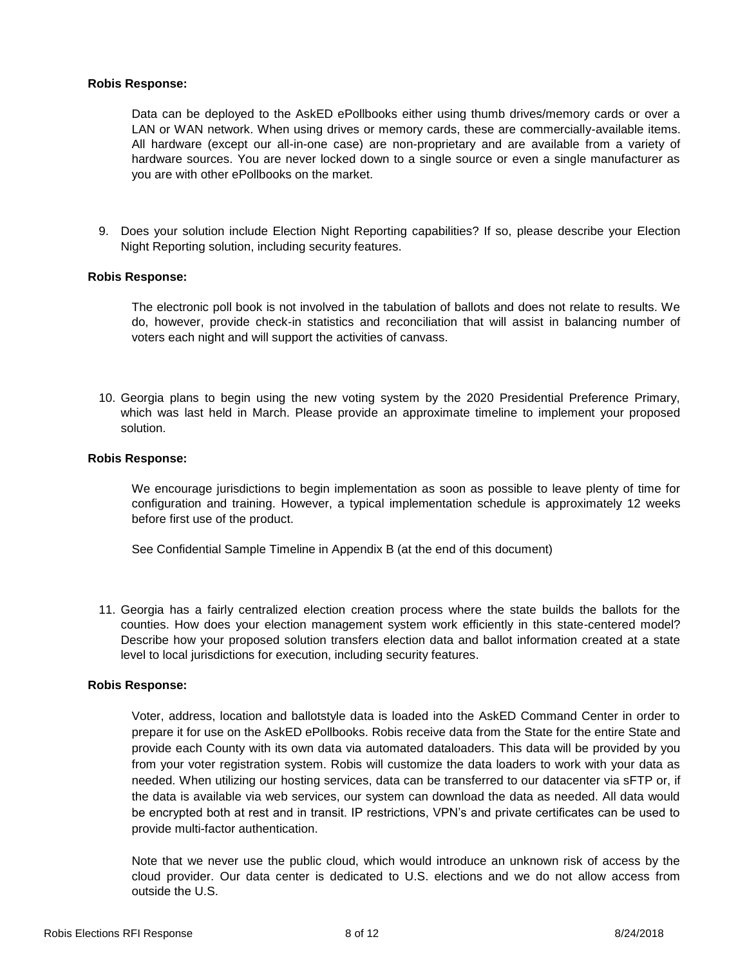# **Robis Response:**

Data can be deployed to the AskED ePollbooks either using thumb drives/memory cards or over a LAN or WAN network. When using drives or memory cards, these are commercially-available items. All hardware (except our all-in-one case) are non-proprietary and are available from a variety of hardware sources. You are never locked down to a single source or even a single manufacturer as you are with other ePollbooks on the market.

9. Does your solution include Election Night Reporting capabilities? If so, please describe your Election Night Reporting solution, including security features.

### **Robis Response:**

The electronic poll book is not involved in the tabulation of ballots and does not relate to results. We do, however, provide check-in statistics and reconciliation that will assist in balancing number of voters each night and will support the activities of canvass.

10. Georgia plans to begin using the new voting system by the 2020 Presidential Preference Primary, which was last held in March. Please provide an approximate timeline to implement your proposed solution.

#### **Robis Response:**

We encourage jurisdictions to begin implementation as soon as possible to leave plenty of time for configuration and training. However, a typical implementation schedule is approximately 12 weeks before first use of the product.

See Confidential Sample Timeline in Appendix B (at the end of this document)

11. Georgia has a fairly centralized election creation process where the state builds the ballots for the counties. How does your election management system work efficiently in this state-centered model? Describe how your proposed solution transfers election data and ballot information created at a state level to local jurisdictions for execution, including security features.

#### **Robis Response:**

Voter, address, location and ballotstyle data is loaded into the AskED Command Center in order to prepare it for use on the AskED ePollbooks. Robis receive data from the State for the entire State and provide each County with its own data via automated dataloaders. This data will be provided by you from your voter registration system. Robis will customize the data loaders to work with your data as needed. When utilizing our hosting services, data can be transferred to our datacenter via sFTP or, if the data is available via web services, our system can download the data as needed. All data would be encrypted both at rest and in transit. IP restrictions, VPN's and private certificates can be used to provide multi-factor authentication.

Note that we never use the public cloud, which would introduce an unknown risk of access by the cloud provider. Our data center is dedicated to U.S. elections and we do not allow access from outside the U.S.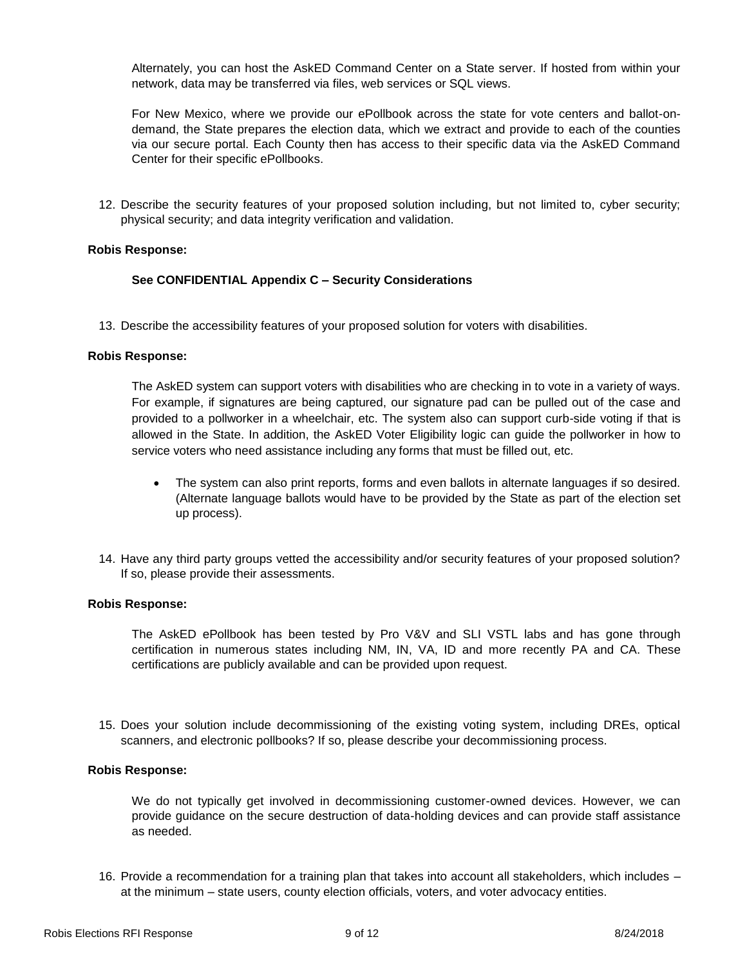Alternately, you can host the AskED Command Center on a State server. If hosted from within your network, data may be transferred via files, web services or SQL views.

For New Mexico, where we provide our ePollbook across the state for vote centers and ballot-ondemand, the State prepares the election data, which we extract and provide to each of the counties via our secure portal. Each County then has access to their specific data via the AskED Command Center for their specific ePollbooks.

12. Describe the security features of your proposed solution including, but not limited to, cyber security; physical security; and data integrity verification and validation.

### **Robis Response:**

### **See CONFIDENTIAL Appendix C – Security Considerations**

13. Describe the accessibility features of your proposed solution for voters with disabilities.

### **Robis Response:**

The AskED system can support voters with disabilities who are checking in to vote in a variety of ways. For example, if signatures are being captured, our signature pad can be pulled out of the case and provided to a pollworker in a wheelchair, etc. The system also can support curb-side voting if that is allowed in the State. In addition, the AskED Voter Eligibility logic can guide the pollworker in how to service voters who need assistance including any forms that must be filled out, etc.

- The system can also print reports, forms and even ballots in alternate languages if so desired. (Alternate language ballots would have to be provided by the State as part of the election set up process).
- 14. Have any third party groups vetted the accessibility and/or security features of your proposed solution? If so, please provide their assessments.

# **Robis Response:**

The AskED ePollbook has been tested by Pro V&V and SLI VSTL labs and has gone through certification in numerous states including NM, IN, VA, ID and more recently PA and CA. These certifications are publicly available and can be provided upon request.

15. Does your solution include decommissioning of the existing voting system, including DREs, optical scanners, and electronic pollbooks? If so, please describe your decommissioning process.

#### **Robis Response:**

We do not typically get involved in decommissioning customer-owned devices. However, we can provide guidance on the secure destruction of data-holding devices and can provide staff assistance as needed.

16. Provide a recommendation for a training plan that takes into account all stakeholders, which includes – at the minimum – state users, county election officials, voters, and voter advocacy entities.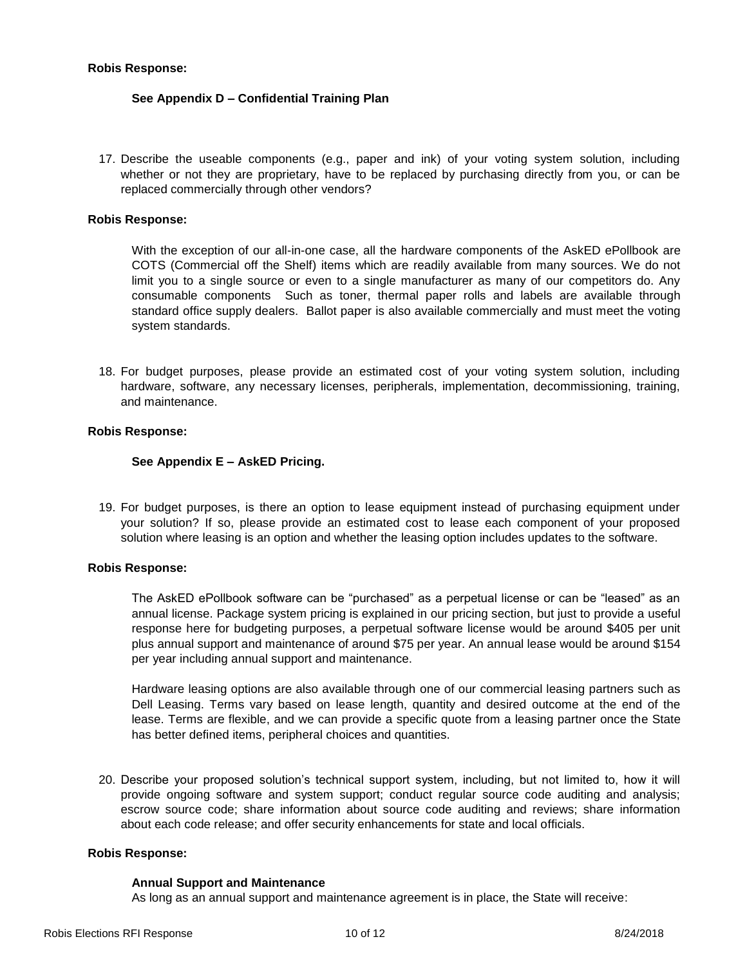# **Robis Response:**

# **See Appendix D – Confidential Training Plan**

17. Describe the useable components (e.g., paper and ink) of your voting system solution, including whether or not they are proprietary, have to be replaced by purchasing directly from you, or can be replaced commercially through other vendors?

# **Robis Response:**

With the exception of our all-in-one case, all the hardware components of the AskED ePollbook are COTS (Commercial off the Shelf) items which are readily available from many sources. We do not limit you to a single source or even to a single manufacturer as many of our competitors do. Any consumable components Such as toner, thermal paper rolls and labels are available through standard office supply dealers. Ballot paper is also available commercially and must meet the voting system standards.

18. For budget purposes, please provide an estimated cost of your voting system solution, including hardware, software, any necessary licenses, peripherals, implementation, decommissioning, training, and maintenance.

# **Robis Response:**

# **See Appendix E – AskED Pricing.**

19. For budget purposes, is there an option to lease equipment instead of purchasing equipment under your solution? If so, please provide an estimated cost to lease each component of your proposed solution where leasing is an option and whether the leasing option includes updates to the software.

# **Robis Response:**

The AskED ePollbook software can be "purchased" as a perpetual license or can be "leased" as an annual license. Package system pricing is explained in our pricing section, but just to provide a useful response here for budgeting purposes, a perpetual software license would be around \$405 per unit plus annual support and maintenance of around \$75 per year. An annual lease would be around \$154 per year including annual support and maintenance.

Hardware leasing options are also available through one of our commercial leasing partners such as Dell Leasing. Terms vary based on lease length, quantity and desired outcome at the end of the lease. Terms are flexible, and we can provide a specific quote from a leasing partner once the State has better defined items, peripheral choices and quantities.

20. Describe your proposed solution's technical support system, including, but not limited to, how it will provide ongoing software and system support; conduct regular source code auditing and analysis; escrow source code; share information about source code auditing and reviews; share information about each code release; and offer security enhancements for state and local officials.

#### **Robis Response:**

#### **Annual Support and Maintenance**

As long as an annual support and maintenance agreement is in place, the State will receive: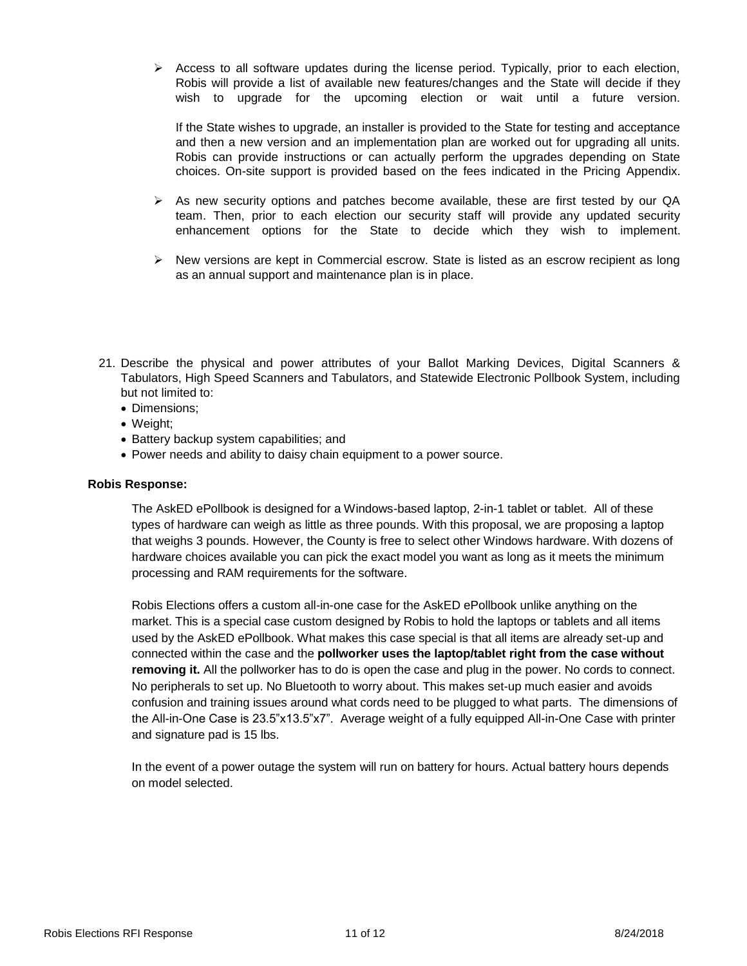$\triangleright$  Access to all software updates during the license period. Typically, prior to each election, Robis will provide a list of available new features/changes and the State will decide if they wish to upgrade for the upcoming election or wait until a future version.

If the State wishes to upgrade, an installer is provided to the State for testing and acceptance and then a new version and an implementation plan are worked out for upgrading all units. Robis can provide instructions or can actually perform the upgrades depending on State choices. On-site support is provided based on the fees indicated in the Pricing Appendix.

- $\triangleright$  As new security options and patches become available, these are first tested by our QA team. Then, prior to each election our security staff will provide any updated security enhancement options for the State to decide which they wish to implement.
- $\triangleright$  New versions are kept in Commercial escrow. State is listed as an escrow recipient as long as an annual support and maintenance plan is in place.
- 21. Describe the physical and power attributes of your Ballot Marking Devices, Digital Scanners & Tabulators, High Speed Scanners and Tabulators, and Statewide Electronic Pollbook System, including but not limited to:
	- Dimensions:
	- Weight;
	- Battery backup system capabilities; and
	- Power needs and ability to daisy chain equipment to a power source.

# **Robis Response:**

The AskED ePollbook is designed for a Windows-based laptop, 2-in-1 tablet or tablet. All of these types of hardware can weigh as little as three pounds. With this proposal, we are proposing a laptop that weighs 3 pounds. However, the County is free to select other Windows hardware. With dozens of hardware choices available you can pick the exact model you want as long as it meets the minimum processing and RAM requirements for the software.

Robis Elections offers a custom all-in-one case for the AskED ePollbook unlike anything on the market. This is a special case custom designed by Robis to hold the laptops or tablets and all items used by the AskED ePollbook. What makes this case special is that all items are already set-up and connected within the case and the **pollworker uses the laptop/tablet right from the case without removing it.** All the pollworker has to do is open the case and plug in the power. No cords to connect. No peripherals to set up. No Bluetooth to worry about. This makes set-up much easier and avoids confusion and training issues around what cords need to be plugged to what parts. The dimensions of the All-in-One Case is 23.5"x13.5"x7". Average weight of a fully equipped All-in-One Case with printer and signature pad is 15 lbs.

In the event of a power outage the system will run on battery for hours. Actual battery hours depends on model selected.